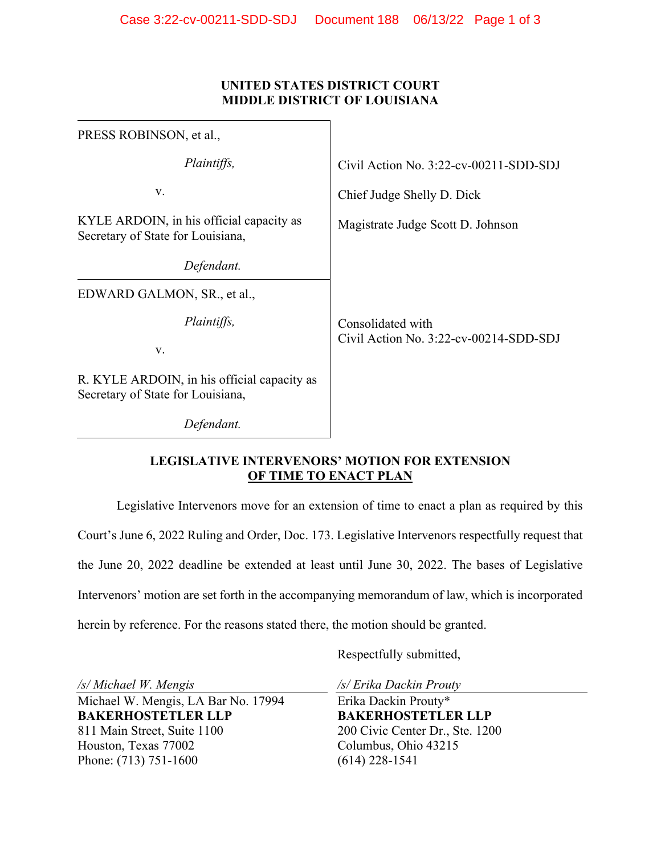| PRESS ROBINSON, et al.,                                                          |                                                             |
|----------------------------------------------------------------------------------|-------------------------------------------------------------|
| Plaintiffs,                                                                      | Civil Action No. 3:22-cv-00211-SDD-SDJ                      |
| V.                                                                               | Chief Judge Shelly D. Dick                                  |
| KYLE ARDOIN, in his official capacity as<br>Secretary of State for Louisiana,    | Magistrate Judge Scott D. Johnson                           |
| Defendant.                                                                       |                                                             |
| EDWARD GALMON, SR., et al.,                                                      |                                                             |
| Plaintiffs,                                                                      | Consolidated with<br>Civil Action No. 3:22-cv-00214-SDD-SDJ |
| V.                                                                               |                                                             |
| R. KYLE ARDOIN, in his official capacity as<br>Secretary of State for Louisiana, |                                                             |
| Defendant.                                                                       |                                                             |

# **LEGISLATIVE INTERVENORS' MOTION FOR EXTENSION OF TIME TO ENACT PLAN**

Legislative Intervenors move for an extension of time to enact a plan as required by this Court's June 6, 2022 Ruling and Order, Doc. 173. Legislative Intervenors respectfully request that the June 20, 2022 deadline be extended at least until June 30, 2022. The bases of Legislative Intervenors' motion are set forth in the accompanying memorandum of law, which is incorporated herein by reference. For the reasons stated there, the motion should be granted.

Respectfully submitted,

*/s/ Michael W. Mengis* 

Michael W. Mengis, LA Bar No. 17994 **BAKERHOSTETLER LLP**  811 Main Street, Suite 1100 Houston, Texas 77002 Phone: (713) 751-1600

*/s/ Erika Dackin Prouty* 

Erika Dackin Prouty\* **BAKERHOSTETLER LLP**  200 Civic Center Dr., Ste. 1200 Columbus, Ohio 43215 (614) 228-1541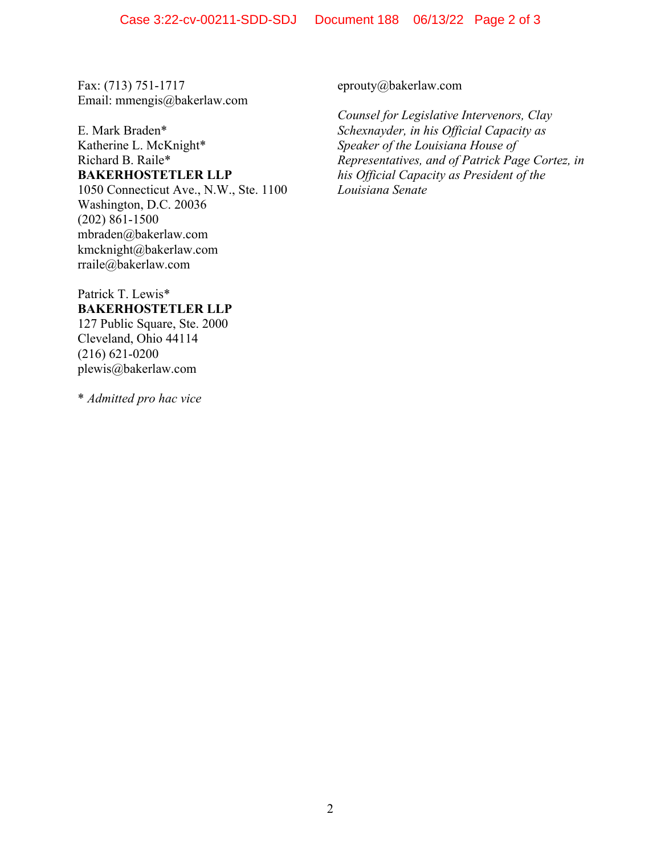Fax: (713) 751-1717 Email: mmengis@bakerlaw.com

E. Mark Braden\* Katherine L. McKnight\* Richard B. Raile\* **BAKERHOSTETLER LLP**  1050 Connecticut Ave., N.W., Ste. 1100 Washington, D.C. 20036 (202) 861-1500 mbraden@bakerlaw.com kmcknight@bakerlaw.com rraile@bakerlaw.com

Patrick T. Lewis\* **BAKERHOSTETLER LLP**  127 Public Square, Ste. 2000 Cleveland, Ohio 44114 (216) 621-0200 plewis@bakerlaw.com

\* *Admitted pro hac vice* 

eprouty@bakerlaw.com

*Counsel for Legislative Intervenors, Clay Schexnayder, in his Official Capacity as Speaker of the Louisiana House of Representatives, and of Patrick Page Cortez, in his Official Capacity as President of the Louisiana Senate*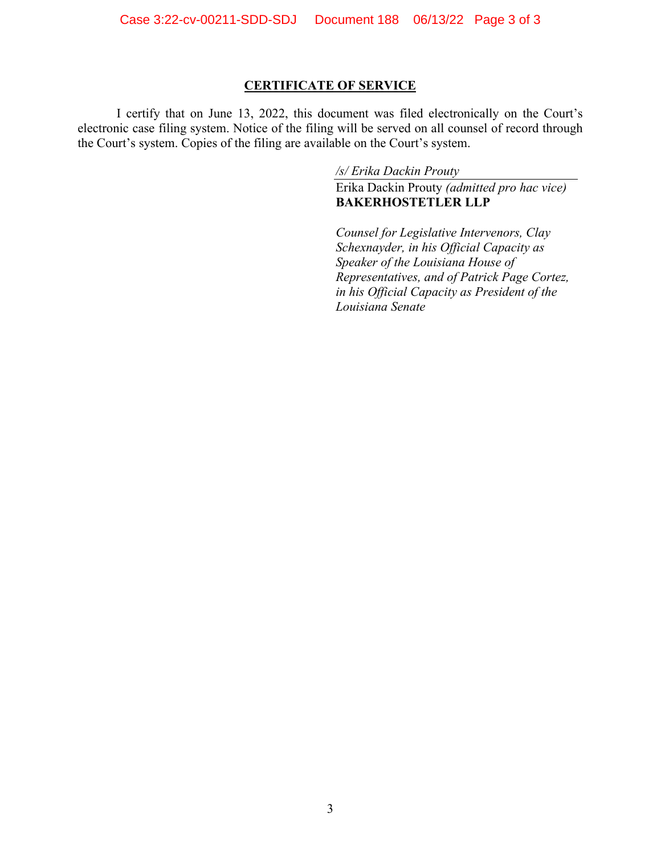# **CERTIFICATE OF SERVICE**

I certify that on June 13, 2022, this document was filed electronically on the Court's electronic case filing system. Notice of the filing will be served on all counsel of record through the Court's system. Copies of the filing are available on the Court's system.

*/s/ Erika Dackin Prouty* 

Erika Dackin Prouty *(admitted pro hac vice)* **BAKERHOSTETLER LLP** 

*Counsel for Legislative Intervenors, Clay Schexnayder, in his Official Capacity as Speaker of the Louisiana House of Representatives, and of Patrick Page Cortez, in his Official Capacity as President of the Louisiana Senate*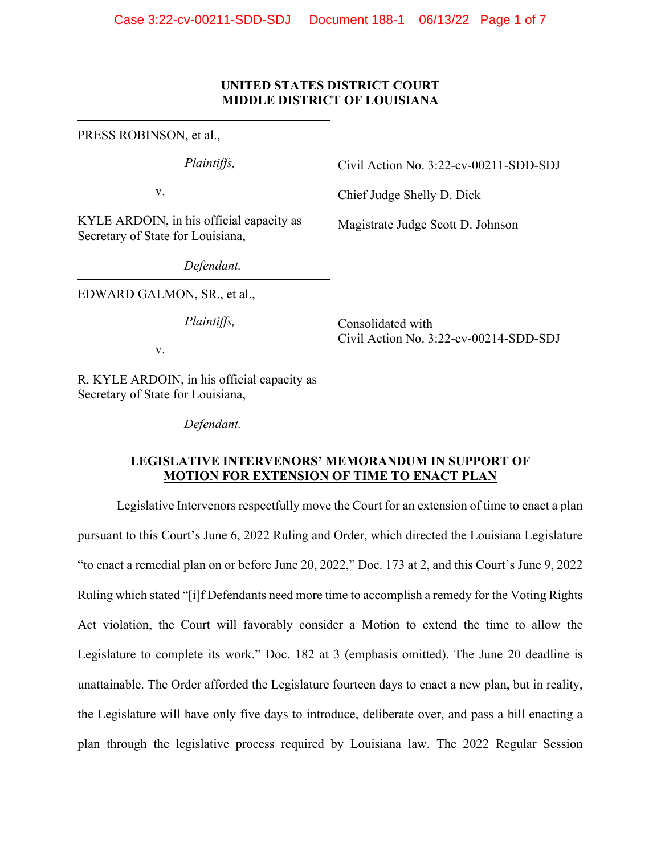| PRESS ROBINSON, et al.,                                                          |                                                                |
|----------------------------------------------------------------------------------|----------------------------------------------------------------|
| <i>Plaintiffs,</i>                                                               | Civil Action No. 3:22-cv-00211-SDD-SDJ                         |
| V.                                                                               | Chief Judge Shelly D. Dick                                     |
| KYLE ARDOIN, in his official capacity as<br>Secretary of State for Louisiana,    | Magistrate Judge Scott D. Johnson                              |
| Defendant.                                                                       |                                                                |
| EDWARD GALMON, SR., et al.,                                                      |                                                                |
| <i>Plaintiffs,</i><br>V.                                                         | Consolidated with<br>Civil Action No. $3:22$ -cv-00214-SDD-SDJ |
| R. KYLE ARDOIN, in his official capacity as<br>Secretary of State for Louisiana, |                                                                |
| Defendant.                                                                       |                                                                |

## **LEGISLATIVE INTERVENORS' MEMORANDUM IN SUPPORT OF MOTION FOR EXTENSION OF TIME TO ENACT PLAN**

Legislative Intervenors respectfully move the Court for an extension of time to enact a plan pursuant to this Court's June 6, 2022 Ruling and Order, which directed the Louisiana Legislature "to enact a remedial plan on or before June 20, 2022," Doc. 173 at 2, and this Court's June 9, 2022 Ruling which stated "[i]f Defendants need more time to accomplish a remedy for the Voting Rights Act violation, the Court will favorably consider a Motion to extend the time to allow the Legislature to complete its work." Doc. 182 at 3 (emphasis omitted). The June 20 deadline is unattainable. The Order afforded the Legislature fourteen days to enact a new plan, but in reality, the Legislature will have only five days to introduce, deliberate over, and pass a bill enacting a plan through the legislative process required by Louisiana law. The 2022 Regular Session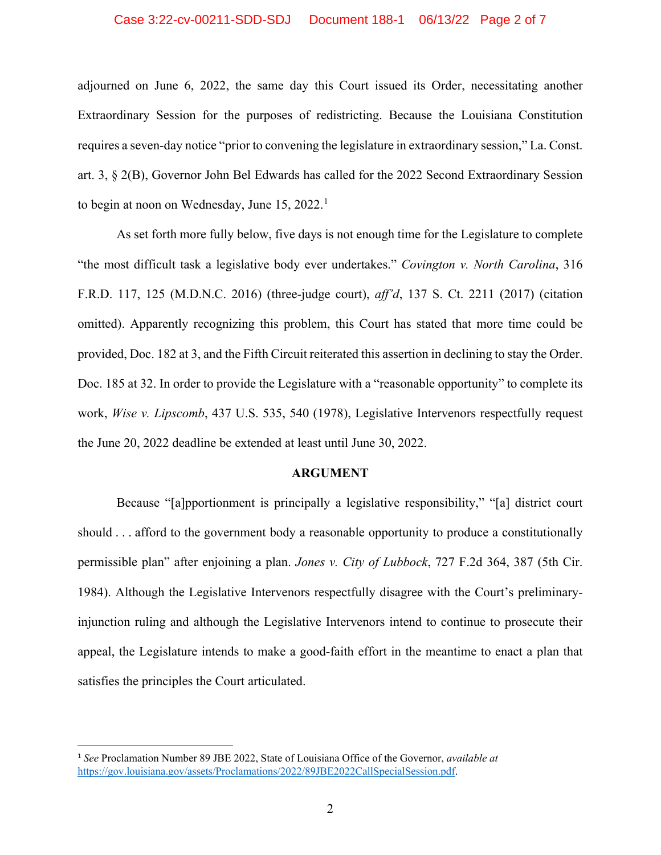#### Case 3:22-cv-00211-SDD-SDJ Document 188-1 06/13/22 Page 2 of 7

adjourned on June 6, 2022, the same day this Court issued its Order, necessitating another Extraordinary Session for the purposes of redistricting. Because the Louisiana Constitution requires a seven-day notice "prior to convening the legislature in extraordinary session," La. Const. art. 3, § 2(B), Governor John Bel Edwards has called for the 2022 Second Extraordinary Session to begin at noon on Wednesday, June  $15, 2022$ .<sup>1</sup>

As set forth more fully below, five days is not enough time for the Legislature to complete "the most difficult task a legislative body ever undertakes." *Covington v. North Carolina*, 316 F.R.D. 117, 125 (M.D.N.C. 2016) (three-judge court), *aff'd*, 137 S. Ct. 2211 (2017) (citation omitted). Apparently recognizing this problem, this Court has stated that more time could be provided, Doc. 182 at 3, and the Fifth Circuit reiterated this assertion in declining to stay the Order. Doc. 185 at 32. In order to provide the Legislature with a "reasonable opportunity" to complete its work, *Wise v. Lipscomb*, 437 U.S. 535, 540 (1978), Legislative Intervenors respectfully request the June 20, 2022 deadline be extended at least until June 30, 2022.

#### **ARGUMENT**

Because "[a]pportionment is principally a legislative responsibility," "[a] district court should . . . afford to the government body a reasonable opportunity to produce a constitutionally permissible plan" after enjoining a plan. *Jones v. City of Lubbock*, 727 F.2d 364, 387 (5th Cir. 1984). Although the Legislative Intervenors respectfully disagree with the Court's preliminaryinjunction ruling and although the Legislative Intervenors intend to continue to prosecute their appeal, the Legislature intends to make a good-faith effort in the meantime to enact a plan that satisfies the principles the Court articulated.

<sup>1</sup> *See* Proclamation Number 89 JBE 2022, State of Louisiana Office of the Governor, *available at* https://gov.louisiana.gov/assets/Proclamations/2022/89JBE2022CallSpecialSession.pdf.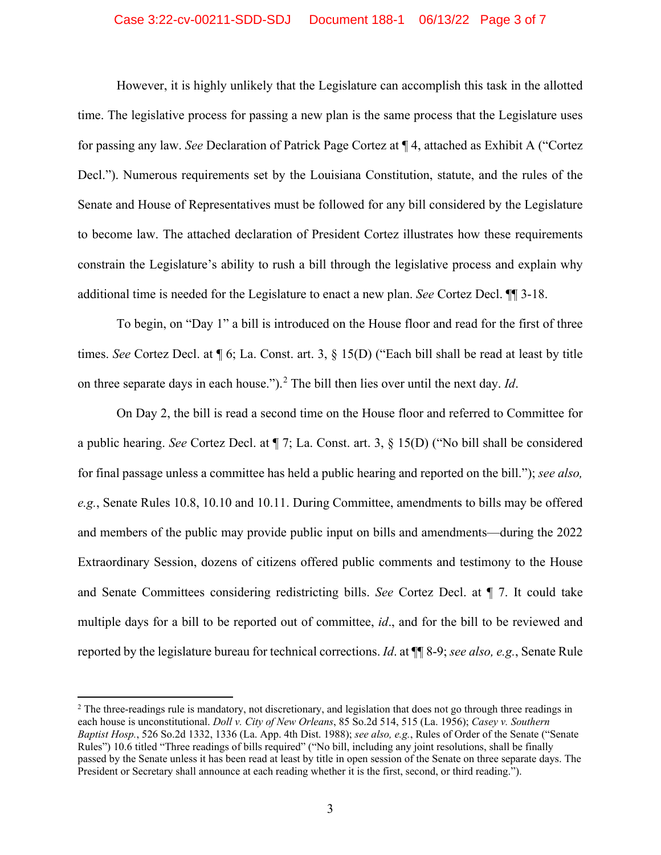#### Case 3:22-cv-00211-SDD-SDJ Document 188-1 06/13/22 Page 3 of 7

However, it is highly unlikely that the Legislature can accomplish this task in the allotted time. The legislative process for passing a new plan is the same process that the Legislature uses for passing any law. *See* Declaration of Patrick Page Cortez at ¶ 4, attached as Exhibit A ("Cortez Decl."). Numerous requirements set by the Louisiana Constitution, statute, and the rules of the Senate and House of Representatives must be followed for any bill considered by the Legislature to become law. The attached declaration of President Cortez illustrates how these requirements constrain the Legislature's ability to rush a bill through the legislative process and explain why additional time is needed for the Legislature to enact a new plan. *See* Cortez Decl. ¶¶ 3-18.

To begin, on "Day 1" a bill is introduced on the House floor and read for the first of three times. *See* Cortez Decl. at ¶ 6; La. Const. art. 3, § 15(D) ("Each bill shall be read at least by title on three separate days in each house.").<sup>2</sup> The bill then lies over until the next day. *Id*.

On Day 2, the bill is read a second time on the House floor and referred to Committee for a public hearing. *See* Cortez Decl. at ¶ 7; La. Const. art. 3, § 15(D) ("No bill shall be considered for final passage unless a committee has held a public hearing and reported on the bill."); *see also, e.g.*, Senate Rules 10.8, 10.10 and 10.11. During Committee, amendments to bills may be offered and members of the public may provide public input on bills and amendments—during the 2022 Extraordinary Session, dozens of citizens offered public comments and testimony to the House and Senate Committees considering redistricting bills. *See* Cortez Decl. at ¶ 7. It could take multiple days for a bill to be reported out of committee, *id*., and for the bill to be reviewed and reported by the legislature bureau for technical corrections. *Id*. at ¶¶ 8-9; *see also, e.g.*, Senate Rule

<sup>&</sup>lt;sup>2</sup> The three-readings rule is mandatory, not discretionary, and legislation that does not go through three readings in each house is unconstitutional. *Doll v. City of New Orleans*, 85 So.2d 514, 515 (La. 1956); *Casey v. Southern Baptist Hosp.*, 526 So.2d 1332, 1336 (La. App. 4th Dist. 1988); *see also, e.g.*, Rules of Order of the Senate ("Senate Rules") 10.6 titled "Three readings of bills required" ("No bill, including any joint resolutions, shall be finally passed by the Senate unless it has been read at least by title in open session of the Senate on three separate days. The President or Secretary shall announce at each reading whether it is the first, second, or third reading.").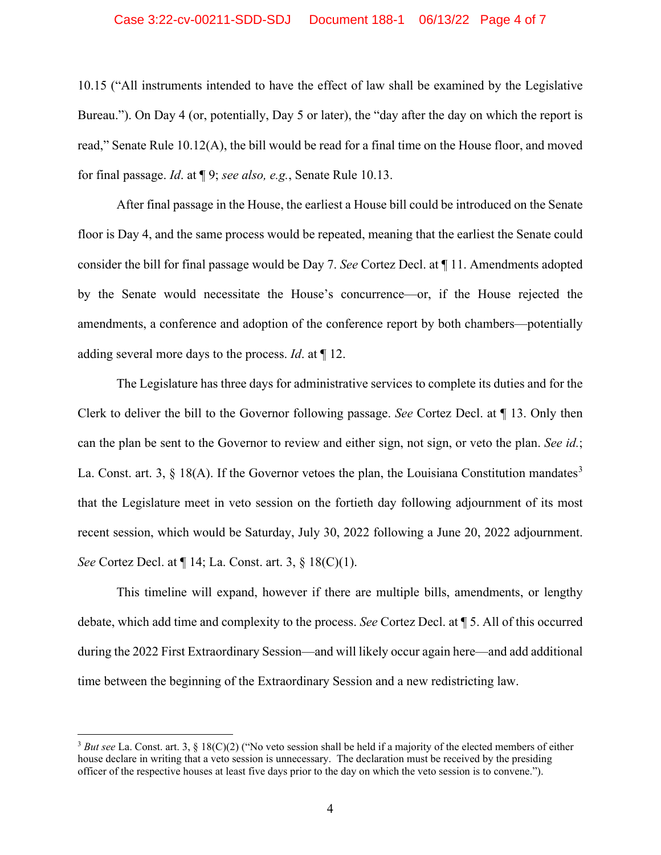#### Case 3:22-cv-00211-SDD-SDJ Document 188-1 06/13/22 Page 4 of 7

10.15 ("All instruments intended to have the effect of law shall be examined by the Legislative Bureau."). On Day 4 (or, potentially, Day 5 or later), the "day after the day on which the report is read," Senate Rule 10.12(A), the bill would be read for a final time on the House floor, and moved for final passage. *Id*. at ¶ 9; *see also, e.g.*, Senate Rule 10.13.

After final passage in the House, the earliest a House bill could be introduced on the Senate floor is Day 4, and the same process would be repeated, meaning that the earliest the Senate could consider the bill for final passage would be Day 7. *See* Cortez Decl. at ¶ 11. Amendments adopted by the Senate would necessitate the House's concurrence—or, if the House rejected the amendments, a conference and adoption of the conference report by both chambers—potentially adding several more days to the process. *Id*. at ¶ 12.

The Legislature has three days for administrative services to complete its duties and for the Clerk to deliver the bill to the Governor following passage. *See* Cortez Decl. at ¶ 13. Only then can the plan be sent to the Governor to review and either sign, not sign, or veto the plan. *See id.*; La. Const. art. 3, § 18(A). If the Governor vetoes the plan, the Louisiana Constitution mandates<sup>3</sup> that the Legislature meet in veto session on the fortieth day following adjournment of its most recent session, which would be Saturday, July 30, 2022 following a June 20, 2022 adjournment. *See* Cortez Decl. at ¶ 14; La. Const. art. 3, § 18(C)(1).

This timeline will expand, however if there are multiple bills, amendments, or lengthy debate, which add time and complexity to the process. *See* Cortez Decl. at ¶ 5. All of this occurred during the 2022 First Extraordinary Session—and will likely occur again here—and add additional time between the beginning of the Extraordinary Session and a new redistricting law.

<sup>3</sup> *But see* La. Const. art. 3, § 18(C)(2) ("No veto session shall be held if a majority of the elected members of either house declare in writing that a veto session is unnecessary. The declaration must be received by the presiding officer of the respective houses at least five days prior to the day on which the veto session is to convene.").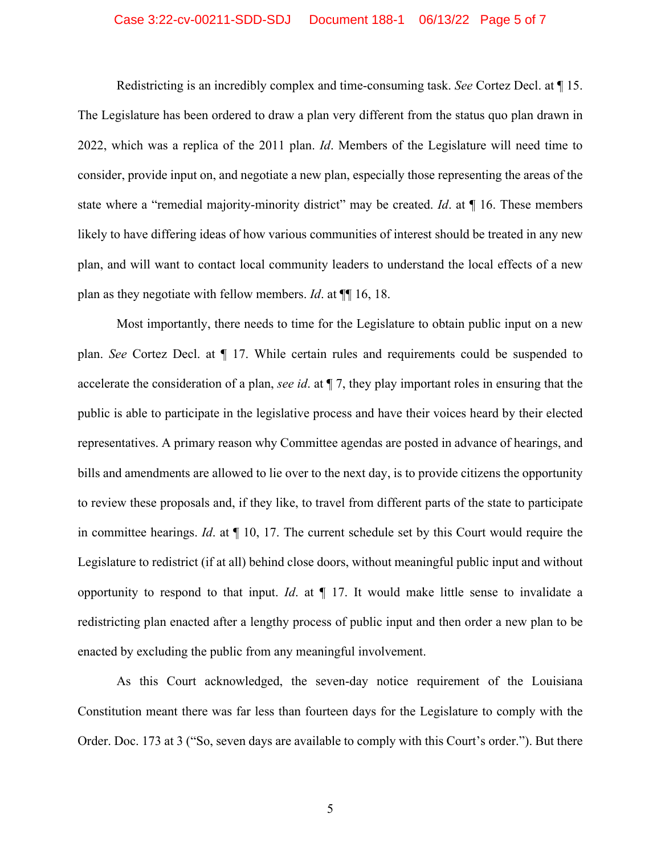#### Case 3:22-cv-00211-SDD-SDJ Document 188-1 06/13/22 Page 5 of 7

Redistricting is an incredibly complex and time-consuming task. *See* Cortez Decl. at ¶ 15. The Legislature has been ordered to draw a plan very different from the status quo plan drawn in 2022, which was a replica of the 2011 plan. *Id*. Members of the Legislature will need time to consider, provide input on, and negotiate a new plan, especially those representing the areas of the state where a "remedial majority-minority district" may be created. *Id*. at ¶ 16. These members likely to have differing ideas of how various communities of interest should be treated in any new plan, and will want to contact local community leaders to understand the local effects of a new plan as they negotiate with fellow members. *Id*. at ¶¶ 16, 18.

Most importantly, there needs to time for the Legislature to obtain public input on a new plan. *See* Cortez Decl. at ¶ 17. While certain rules and requirements could be suspended to accelerate the consideration of a plan, *see id*. at ¶ 7, they play important roles in ensuring that the public is able to participate in the legislative process and have their voices heard by their elected representatives. A primary reason why Committee agendas are posted in advance of hearings, and bills and amendments are allowed to lie over to the next day, is to provide citizens the opportunity to review these proposals and, if they like, to travel from different parts of the state to participate in committee hearings. *Id*. at ¶ 10, 17. The current schedule set by this Court would require the Legislature to redistrict (if at all) behind close doors, without meaningful public input and without opportunity to respond to that input. *Id*. at ¶ 17. It would make little sense to invalidate a redistricting plan enacted after a lengthy process of public input and then order a new plan to be enacted by excluding the public from any meaningful involvement.

As this Court acknowledged, the seven-day notice requirement of the Louisiana Constitution meant there was far less than fourteen days for the Legislature to comply with the Order. Doc. 173 at 3 ("So, seven days are available to comply with this Court's order."). But there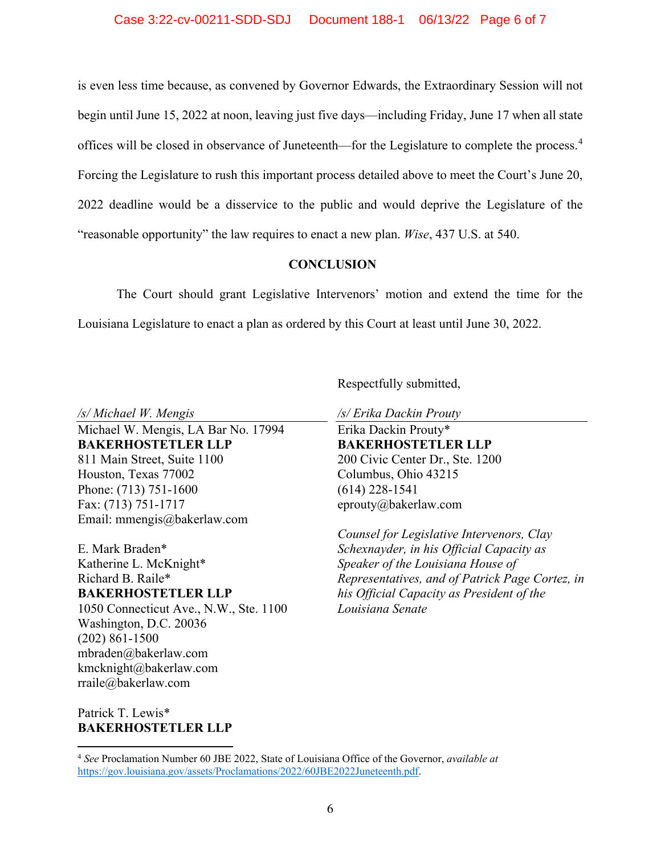#### Case 3:22-cv-00211-SDD-SDJ Document 188-1 06/13/22 Page 6 of 7

is even less time because, as convened by Governor Edwards, the Extraordinary Session will not begin until June 15, 2022 at noon, leaving just five days—including Friday, June 17 when all state offices will be closed in observance of Juneteenth—for the Legislature to complete the process.<sup>4</sup> Forcing the Legislature to rush this important process detailed above to meet the Court's June 20, 2022 deadline would be a disservice to the public and would deprive the Legislature of the "reasonable opportunity" the law requires to enact a new plan. *Wise*, 437 U.S. at 540.

#### **CONCLUSION**

The Court should grant Legislative Intervenors' motion and extend the time for the Louisiana Legislature to enact a plan as ordered by this Court at least until June 30, 2022.

Respectfully submitted,

*/s/ Michael W. Mengis* 

Michael W. Mengis, LA Bar No. 17994 **BAKERHOSTETLER LLP**  811 Main Street, Suite 1100 Houston, Texas 77002 Phone: (713) 751-1600 Fax: (713) 751-1717 Email: mmengis@bakerlaw.com

E. Mark Braden\* Katherine L. McKnight\* Richard B. Raile\* **BAKERHOSTETLER LLP**  1050 Connecticut Ave., N.W., Ste. 1100 Washington, D.C. 20036 (202) 861-1500 mbraden@bakerlaw.com kmcknight@bakerlaw.com rraile@bakerlaw.com

*/s/ Erika Dackin Prouty* 

Erika Dackin Prouty\* **BAKERHOSTETLER LLP**  200 Civic Center Dr., Ste. 1200 Columbus, Ohio 43215 (614) 228-1541 eprouty@bakerlaw.com

*Counsel for Legislative Intervenors, Clay Schexnayder, in his Official Capacity as Speaker of the Louisiana House of Representatives, and of Patrick Page Cortez, in his Official Capacity as President of the Louisiana Senate* 

Patrick T. Lewis\* **BAKERHOSTETLER LLP** 

<sup>4</sup> *See* Proclamation Number 60 JBE 2022, State of Louisiana Office of the Governor, *available at* https://gov.louisiana.gov/assets/Proclamations/2022/60JBE2022Juneteenth.pdf.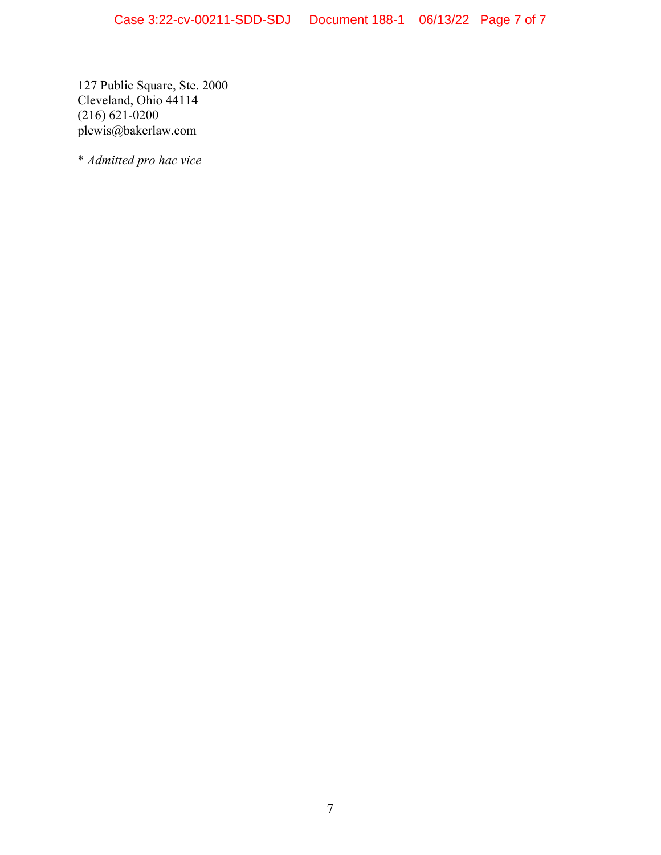127 Public Square, Ste. 2000 Cleveland, Ohio 44114 (216) 621-0200 plewis@bakerlaw.com

\* *Admitted pro hac vice*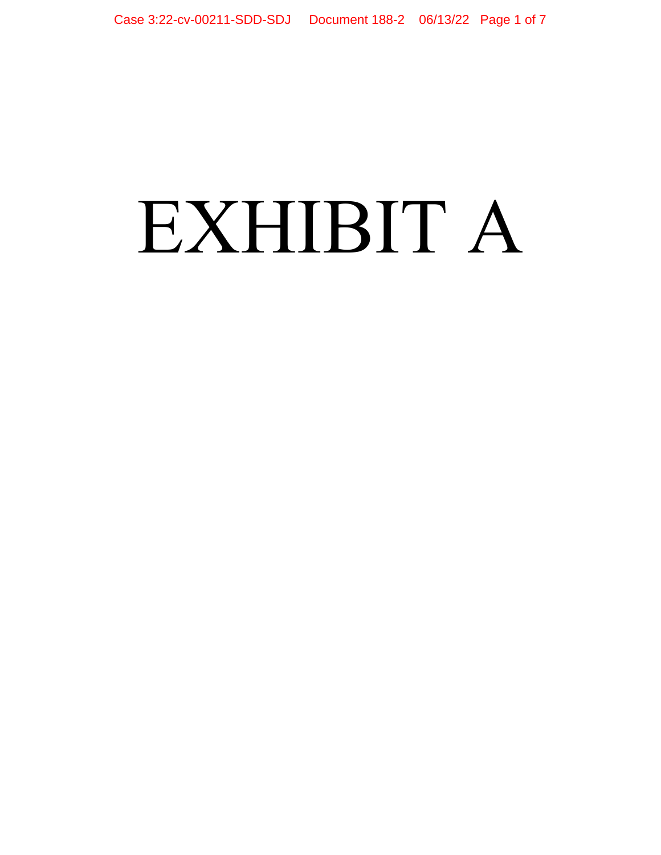# EXHIBIT A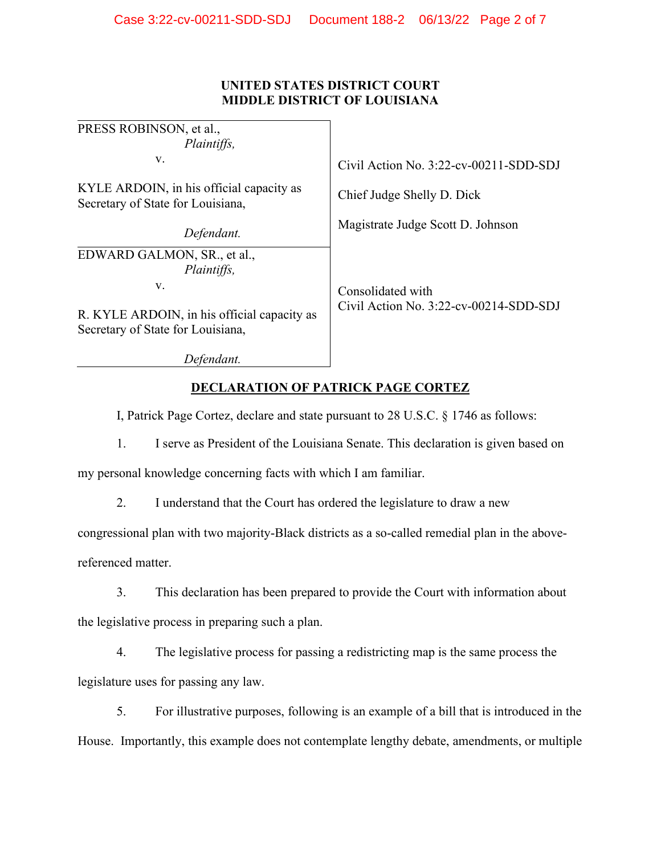| PRESS ROBINSON, et al.,<br>Plaintiffs,                                                 |                                                             |
|----------------------------------------------------------------------------------------|-------------------------------------------------------------|
| v.                                                                                     | Civil Action No. 3:22-cv-00211-SDD-SDJ                      |
| KYLE ARDOIN, in his official capacity as<br>Secretary of State for Louisiana,          | Chief Judge Shelly D. Dick                                  |
| Defendant.                                                                             | Magistrate Judge Scott D. Johnson                           |
| EDWARD GALMON, SR., et al.,<br>Plaintiffs,                                             |                                                             |
| V.<br>R. KYLE ARDOIN, in his official capacity as<br>Secretary of State for Louisiana, | Consolidated with<br>Civil Action No. 3:22-cv-00214-SDD-SDJ |
| Defendant.                                                                             |                                                             |

# **DECLARATION OF PATRICK PAGE CORTEZ**

I, Patrick Page Cortez, declare and state pursuant to 28 U.S.C. § 1746 as follows:

1. I serve as President of the Louisiana Senate. This declaration is given based on

my personal knowledge concerning facts with which I am familiar.

2. I understand that the Court has ordered the legislature to draw a new

congressional plan with two majority-Black districts as a so-called remedial plan in the abovereferenced matter.

3. This declaration has been prepared to provide the Court with information about the legislative process in preparing such a plan.

4. The legislative process for passing a redistricting map is the same process the legislature uses for passing any law.

5. For illustrative purposes, following is an example of a bill that is introduced in the House. Importantly, this example does not contemplate lengthy debate, amendments, or multiple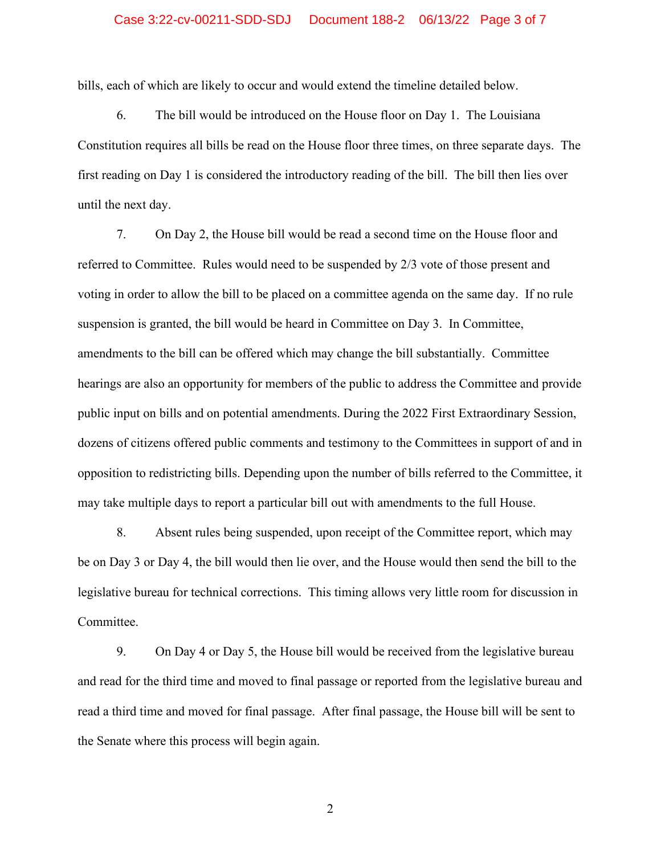#### Case 3:22-cv-00211-SDD-SDJ Document 188-2 06/13/22 Page 3 of 7

bills, each of which are likely to occur and would extend the timeline detailed below.

6. The bill would be introduced on the House floor on Day 1. The Louisiana Constitution requires all bills be read on the House floor three times, on three separate days. The first reading on Day 1 is considered the introductory reading of the bill. The bill then lies over until the next day.

7. On Day 2, the House bill would be read a second time on the House floor and referred to Committee. Rules would need to be suspended by 2/3 vote of those present and voting in order to allow the bill to be placed on a committee agenda on the same day. If no rule suspension is granted, the bill would be heard in Committee on Day 3. In Committee, amendments to the bill can be offered which may change the bill substantially. Committee hearings are also an opportunity for members of the public to address the Committee and provide public input on bills and on potential amendments. During the 2022 First Extraordinary Session, dozens of citizens offered public comments and testimony to the Committees in support of and in opposition to redistricting bills. Depending upon the number of bills referred to the Committee, it may take multiple days to report a particular bill out with amendments to the full House.

8. Absent rules being suspended, upon receipt of the Committee report, which may be on Day 3 or Day 4, the bill would then lie over, and the House would then send the bill to the legislative bureau for technical corrections. This timing allows very little room for discussion in Committee.

9. On Day 4 or Day 5, the House bill would be received from the legislative bureau and read for the third time and moved to final passage or reported from the legislative bureau and read a third time and moved for final passage. After final passage, the House bill will be sent to the Senate where this process will begin again.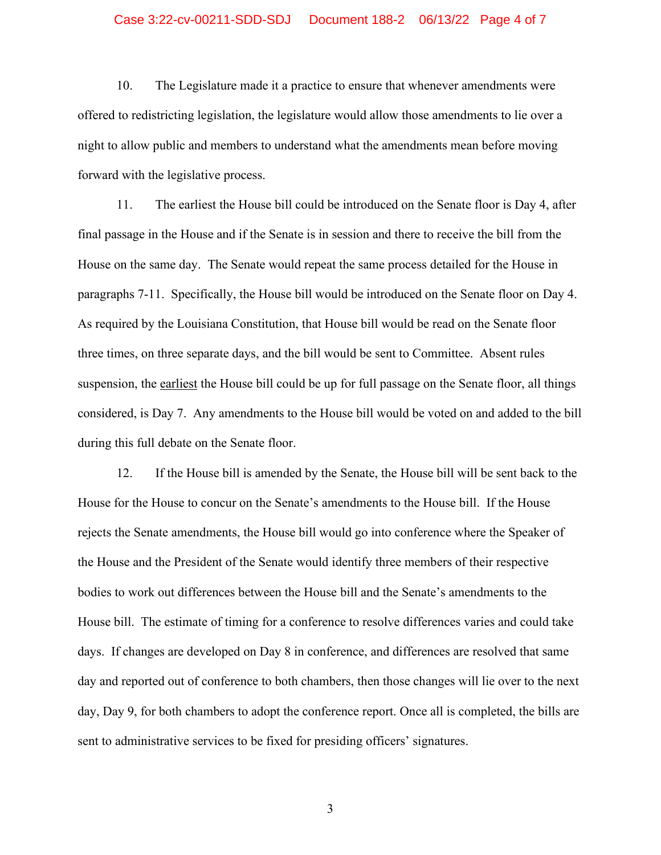#### Case 3:22-cv-00211-SDD-SDJ Document 188-2 06/13/22 Page 4 of 7

10. The Legislature made it a practice to ensure that whenever amendments were offered to redistricting legislation, the legislature would allow those amendments to lie over a night to allow public and members to understand what the amendments mean before moving forward with the legislative process.

11. The earliest the House bill could be introduced on the Senate floor is Day 4, after final passage in the House and if the Senate is in session and there to receive the bill from the House on the same day. The Senate would repeat the same process detailed for the House in paragraphs 7-11. Specifically, the House bill would be introduced on the Senate floor on Day 4. As required by the Louisiana Constitution, that House bill would be read on the Senate floor three times, on three separate days, and the bill would be sent to Committee. Absent rules suspension, the earliest the House bill could be up for full passage on the Senate floor, all things considered, is Day 7. Any amendments to the House bill would be voted on and added to the bill during this full debate on the Senate floor.

12. If the House bill is amended by the Senate, the House bill will be sent back to the House for the House to concur on the Senate's amendments to the House bill. If the House rejects the Senate amendments, the House bill would go into conference where the Speaker of the House and the President of the Senate would identify three members of their respective bodies to work out differences between the House bill and the Senate's amendments to the House bill. The estimate of timing for a conference to resolve differences varies and could take days. If changes are developed on Day 8 in conference, and differences are resolved that same day and reported out of conference to both chambers, then those changes will lie over to the next day, Day 9, for both chambers to adopt the conference report. Once all is completed, the bills are sent to administrative services to be fixed for presiding officers' signatures.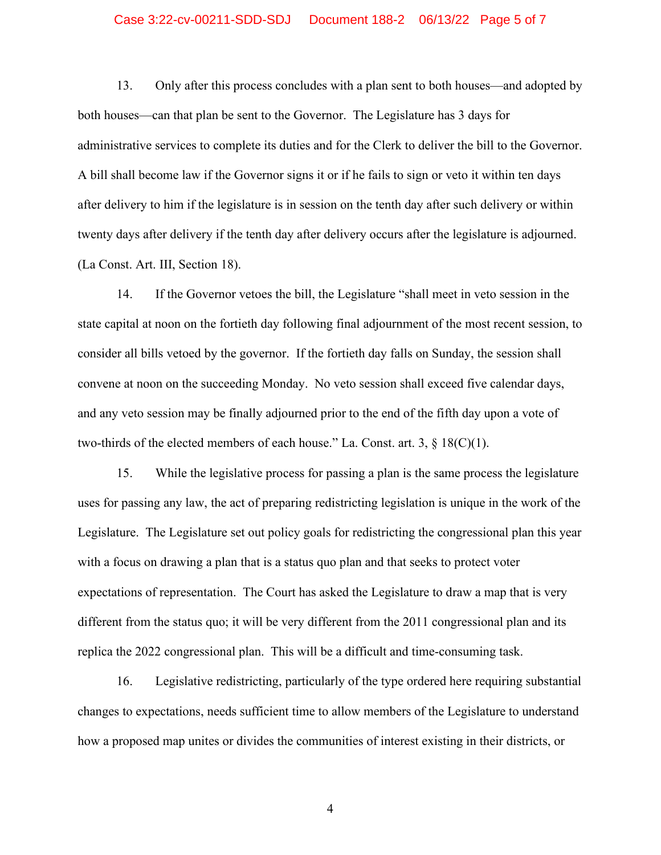#### Case 3:22-cv-00211-SDD-SDJ Document 188-2 06/13/22 Page 5 of 7

13. Only after this process concludes with a plan sent to both houses—and adopted by both houses—can that plan be sent to the Governor. The Legislature has 3 days for administrative services to complete its duties and for the Clerk to deliver the bill to the Governor. A bill shall become law if the Governor signs it or if he fails to sign or veto it within ten days after delivery to him if the legislature is in session on the tenth day after such delivery or within twenty days after delivery if the tenth day after delivery occurs after the legislature is adjourned. (La Const. Art. III, Section 18).

14. If the Governor vetoes the bill, the Legislature "shall meet in veto session in the state capital at noon on the fortieth day following final adjournment of the most recent session, to consider all bills vetoed by the governor. If the fortieth day falls on Sunday, the session shall convene at noon on the succeeding Monday. No veto session shall exceed five calendar days, and any veto session may be finally adjourned prior to the end of the fifth day upon a vote of two-thirds of the elected members of each house." La. Const. art. 3,  $\S$  18(C)(1).

15. While the legislative process for passing a plan is the same process the legislature uses for passing any law, the act of preparing redistricting legislation is unique in the work of the Legislature. The Legislature set out policy goals for redistricting the congressional plan this year with a focus on drawing a plan that is a status quo plan and that seeks to protect voter expectations of representation. The Court has asked the Legislature to draw a map that is very different from the status quo; it will be very different from the 2011 congressional plan and its replica the 2022 congressional plan. This will be a difficult and time-consuming task.

16. Legislative redistricting, particularly of the type ordered here requiring substantial changes to expectations, needs sufficient time to allow members of the Legislature to understand how a proposed map unites or divides the communities of interest existing in their districts, or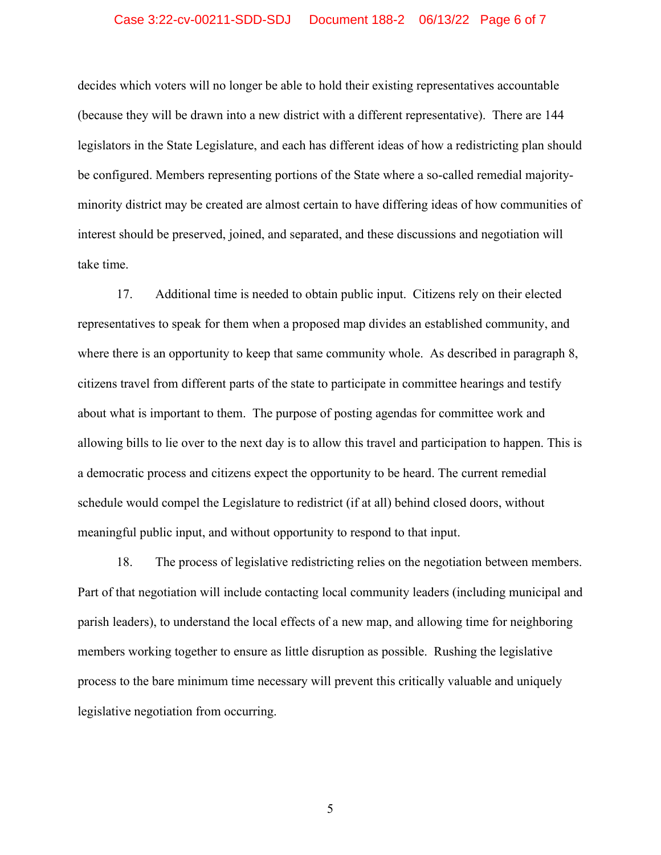#### Case 3:22-cv-00211-SDD-SDJ Document 188-2 06/13/22 Page 6 of 7

decides which voters will no longer be able to hold their existing representatives accountable (because they will be drawn into a new district with a different representative). There are 144 legislators in the State Legislature, and each has different ideas of how a redistricting plan should be configured. Members representing portions of the State where a so-called remedial majorityminority district may be created are almost certain to have differing ideas of how communities of interest should be preserved, joined, and separated, and these discussions and negotiation will take time.

17. Additional time is needed to obtain public input. Citizens rely on their elected representatives to speak for them when a proposed map divides an established community, and where there is an opportunity to keep that same community whole. As described in paragraph 8, citizens travel from different parts of the state to participate in committee hearings and testify about what is important to them. The purpose of posting agendas for committee work and allowing bills to lie over to the next day is to allow this travel and participation to happen. This is a democratic process and citizens expect the opportunity to be heard. The current remedial schedule would compel the Legislature to redistrict (if at all) behind closed doors, without meaningful public input, and without opportunity to respond to that input.

18. The process of legislative redistricting relies on the negotiation between members. Part of that negotiation will include contacting local community leaders (including municipal and parish leaders), to understand the local effects of a new map, and allowing time for neighboring members working together to ensure as little disruption as possible. Rushing the legislative process to the bare minimum time necessary will prevent this critically valuable and uniquely legislative negotiation from occurring.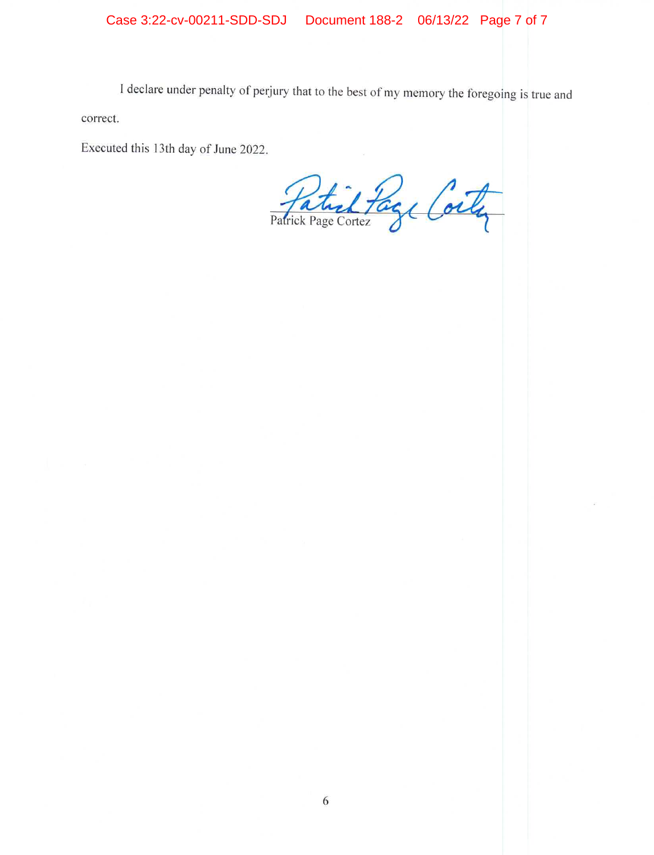I declare under penalty of perjury that to the best of my memory the foregoing is true and correct.

Executed this 13th day of June 2022.

Patrick Page Costy